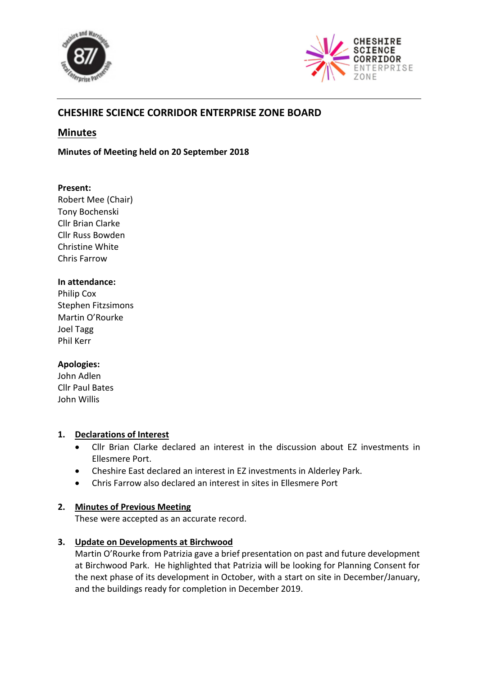



# **CHESHIRE SCIENCE CORRIDOR ENTERPRISE ZONE BOARD**

## **Minutes**

**Minutes of Meeting held on 20 September 2018**

## **Present:**

Robert Mee (Chair) Tony Bochenski Cllr Brian Clarke Cllr Russ Bowden Christine White Chris Farrow

## **In attendance:**

Philip Cox Stephen Fitzsimons Martin O'Rourke Joel Tagg Phil Kerr

## **Apologies:**

John Adlen Cllr Paul Bates John Willis

## **1. Declarations of Interest**

- Cllr Brian Clarke declared an interest in the discussion about EZ investments in Ellesmere Port.
- Cheshire East declared an interest in EZ investments in Alderley Park.
- Chris Farrow also declared an interest in sites in Ellesmere Port

## **2. Minutes of Previous Meeting**

These were accepted as an accurate record.

## **3. Update on Developments at Birchwood**

Martin O'Rourke from Patrizia gave a brief presentation on past and future development at Birchwood Park. He highlighted that Patrizia will be looking for Planning Consent for the next phase of its development in October, with a start on site in December/January, and the buildings ready for completion in December 2019.